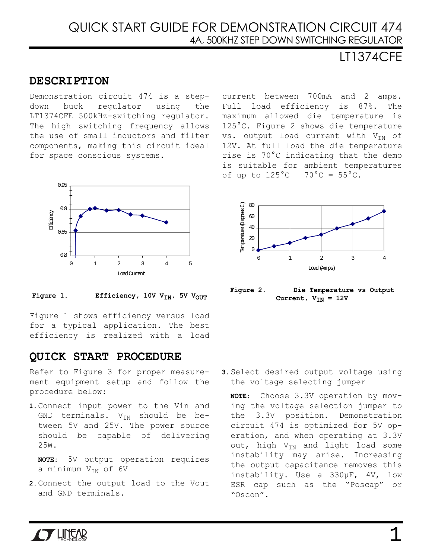# LT1374CFE

### **DESCRIPTION**

Demonstration circuit 474 is a stepdown buck regulator using the LT1374CFE 500kHz-switching regulator. The high switching frequency allows the use of small inductors and filter components, making this circuit ideal for space conscious systems.



Figure 1. Efficiency, 10V V<sub>IN</sub>, 5V V<sub>OUT</sub>

Figure 1 shows efficiency versus load for a typical application. The best efficiency is realized with a load

### **QUICK START PROCEDURE**

Refer to [Figure 3](#page-1-0) for proper measurement equipment setup and follow the procedure below:

**1.** Connect input power to the Vin and GND terminals.  $V_{IN}$  should be between 5V and 25V. The power source should be capable of delivering 25W.

**NOTE:** 5V output operation requires a minimum  $V_{IN}$  of 6V

**2.** Connect the output load to the Vout and GND terminals.

current between 700mA and 2 amps. Full load efficiency is 87%. The maximum allowed die temperature is 125°C. Figure 2 shows die temperature vs. output load current with  $V_{IN}$  of 12V. At full load the die temperature rise is 70°C indicating that the demo is suitable for ambient temperatures of up to  $125^{\circ}$ C -  $70^{\circ}$ C =  $55^{\circ}$ C.



**Figure 2. Die Temperature vs Output**  Current,  $V_{IN} = 12V$ 

**3.** Select desired output voltage using the voltage selecting jumper

**NOTE:** Choose 3.3V operation by moving the voltage selection jumper to the 3.3V position. Demonstration circuit 474 is optimized for 5V operation, and when operating at 3.3V out, high  $V_{IN}$  and light load some instability may arise. Increasing the output capacitance removes this instability. Use a 330µF, 4V, low ESR cap such as the "Poscap" or "Oscon".

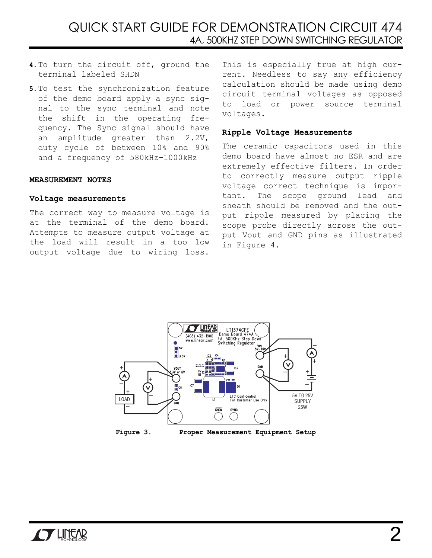## QUICK START GUIDE FOR DEMONSTRATION CIRCUIT 474 4A, 500KHZ STEP DOWN SWITCHING REGULATOR

- **4.** To turn the circuit off, ground the terminal labeled SHDN
- **5.** To test the synchronization feature of the demo board apply a sync signal to the sync terminal and note the shift in the operating frequency. The Sync signal should have an amplitude greater than 2.2V, duty cycle of between 10% and 90% and a frequency of 580kHz–1000kHz

#### **MEASUREMENT NOTES**

#### **Voltage measurements**

The correct way to measure voltage is at the terminal of the demo board. Attempts to measure output voltage at the load will result in a too low output voltage due to wiring loss.

This is especially true at high current. Needless to say any efficiency calculation should be made using demo circuit terminal voltages as opposed to load or power source terminal voltages.

#### **Ripple Voltage Measurements**

The ceramic capacitors used in this demo board have almost no ESR and are extremely effective filters. In order to correctly measure output ripple voltage correct technique is important. The scope ground lead and sheath should be removed and the output ripple measured by placing the scope probe directly across the output Vout and GND pins as illustrated in [Figure 4.](#page-2-0)



<span id="page-1-0"></span>

**Figure 3. Proper Measurement Equipment Setup**